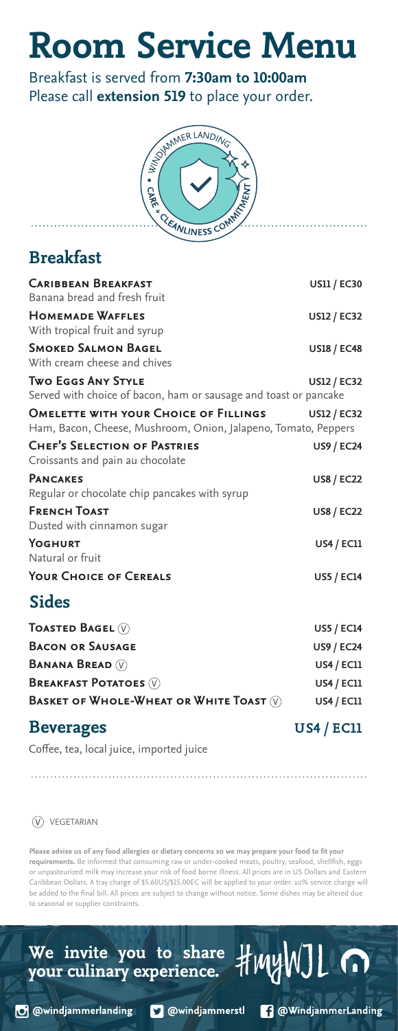## **Room Service Menu**

Breakfast is served from **7:30am to 10:00am** Please call **extension 519** to place your order.



#### **Breakfast**

| <b>CARIBBEAN BREAKFAST</b><br>Banana bread and fresh fruit                                                     | <b>US11 / EC30</b> |
|----------------------------------------------------------------------------------------------------------------|--------------------|
| <b>HOMEMADE WAFFLES</b><br>With tropical fruit and syrup                                                       | <b>US12 / EC32</b> |
| <b>SMOKED SALMON BAGEL</b><br>With cream cheese and chives                                                     | <b>US18 / EC48</b> |
| <b>TWO EGGS ANY STYLE</b><br>Served with choice of bacon, ham or sausage and toast or pancake                  | <b>US12 / EC32</b> |
| <b>OMELETTE WITH YOUR CHOICE OF FILLINGS</b><br>Ham, Bacon, Cheese, Mushroom, Onion, Jalapeno, Tomato, Peppers | <b>US12 / EC32</b> |
| <b>CHEF'S SELECTION OF PASTRIES</b><br>Croissants and pain au chocolate                                        | <b>US9 / EC24</b>  |
| <b>PANCAKES</b><br>Regular or chocolate chip pancakes with syrup                                               | <b>US8 / EC22</b>  |
| <b>FRENCH TOAST</b><br>Dusted with cinnamon sugar                                                              | <b>US8 / EC22</b>  |
| YOGHURT<br>Natural or fruit                                                                                    | <b>US4 / EC11</b>  |
| <b>YOUR CHOICE OF CEREALS</b>                                                                                  | <b>US5 / EC14</b>  |
| <b>Sides</b>                                                                                                   |                    |
| <b>TOASTED BAGEL</b> $\mathbb{V}$                                                                              | <b>US5 / EC14</b>  |
| <b>BACON OR SAUSAGE</b>                                                                                        | <b>US9 / EC24</b>  |
| <b>BANANA BREAD</b> (V)                                                                                        | <b>US4 / EC11</b>  |
| <b>BREAKFAST POTATOES (V)</b>                                                                                  | <b>US4 / EC11</b>  |
| BASKET OF WHOLE-WHEAT OR WHITE TOAST $(\widehat{V})$                                                           | <b>US4 / EC11</b>  |

#### **Beverages** US4 / EC11

Coffee, tea, local juice, imported juice

VEGETARIAN

**Please advise us of any food allergies or dietary concerns so we may prepare your food to fit your requirements.** Be informed that consuming raw or under-cooked meats, poultry, seafood, shellfish, eggs or unpasteurized milk may increase your risk of food borne illness. All prices are in US Dollars and Eastern Caribbean Dollars. A tray charge of \$5.60US/\$15.00EC will be applied to your order. 10% service charge will be added to the final bill. All prices are subject to change without notice. Some dishes may be altered due to seasonal or supplier constraints.

O @windjammerlanding

**D** @windjammerstl

We invite you to share **HMYWJL**<br>your culinary experience. HMYWJL

**1** @WindjammerLanding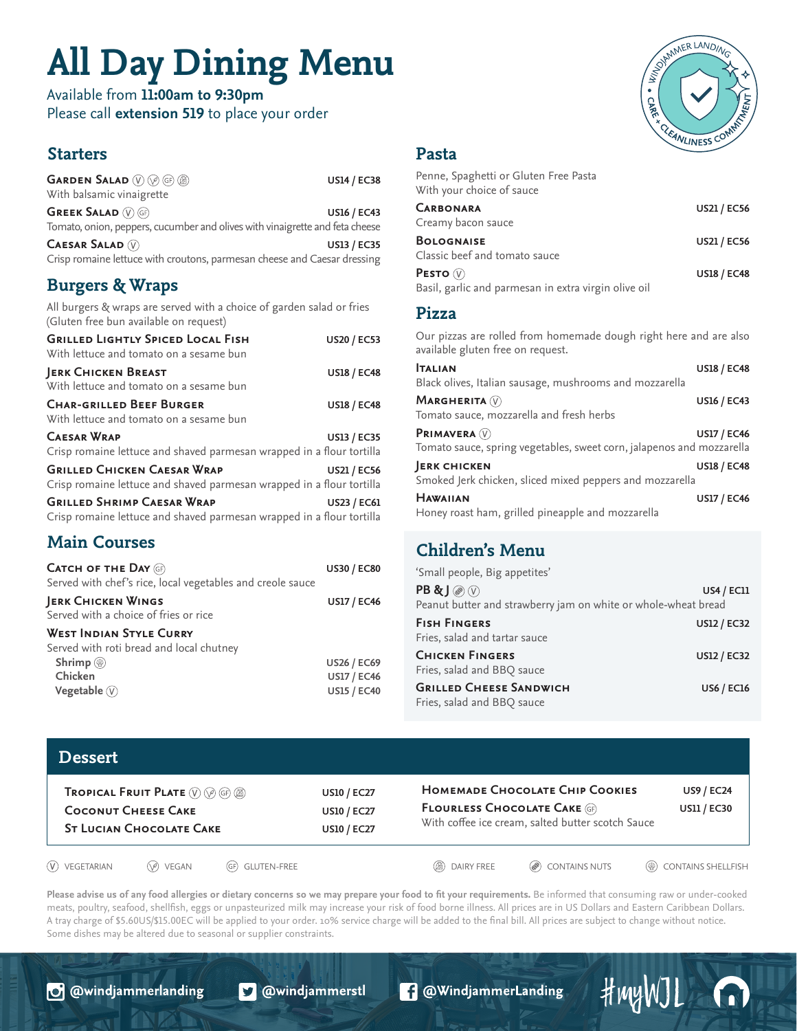## **All Day Dining Menu**

Available from **11:00am to 9:30pm** Please call **extension 519** to place your order

#### **Starters**

| <b>Burgers &amp; Wraps</b>                                                                                 |                    |
|------------------------------------------------------------------------------------------------------------|--------------------|
| <b>CAESAR SALAD V</b><br>Crisp romaine lettuce with croutons, parmesan cheese and Caesar dressing          | <b>US13 / EC35</b> |
| <b>GREEK SALAD (V) GF)</b><br>Tomato, onion, peppers, cucumber and olives with vinaigrette and feta cheese | <b>US16 / EC43</b> |
| With balsamic vinaigrette                                                                                  |                    |
| GARDEN SALAD (V) (2) (6) (8)                                                                               | <b>US14 / EC38</b> |

All burgers & wraps are served with a choice of garden salad or fries (Gluten free bun available on request)

| <b>GRILLED LIGHTLY SPICED LOCAL FISH</b><br>With lettuce and tomato on a sesame bun                         | <b>US20 / EC53</b> |
|-------------------------------------------------------------------------------------------------------------|--------------------|
| <b>JERK CHICKEN BREAST</b><br>With lettuce and tomato on a sesame bun                                       | <b>US18 / EC48</b> |
| <b>CHAR-GRILLED BEEF BURGER</b><br>With lettuce and tomato on a sesame bun                                  | <b>US18 / EC48</b> |
| <b>CAESAR WRAP</b><br>Crisp romaine lettuce and shaved parmesan wrapped in a flour tortilla                 | <b>US13 / EC35</b> |
| <b>GRILLED CHICKEN CAESAR WRAP</b><br>Crisp romaine lettuce and shaved parmesan wrapped in a flour tortilla | <b>US21 / EC56</b> |
| <b>GRILLED SHRIMP CAESAR WRAP</b><br>Crisp romaine lettuce and shaved parmesan wrapped in a flour tortilla  | <b>US23 / EC61</b> |

#### **Main Courses**

| <b>CATCH OF THE DAY GF</b><br>Served with chef's rice, local vegetables and creole sauce | <b>US30 / EC80</b> |
|------------------------------------------------------------------------------------------|--------------------|
| JERK CHICKEN WINGS<br>Served with a choice of fries or rice                              | <b>US17 / EC46</b> |
| <b>WEST INDIAN STYLE CURRY</b><br>Served with roti bread and local chutney               |                    |
| Shrimp $\circledR$                                                                       | <b>US26 / EC69</b> |
| Chicken                                                                                  | <b>US17 / EC46</b> |
| Vegetable $(V)$                                                                          | <b>US15 / EC40</b> |
|                                                                                          |                    |

# SAMMER LANDING **CLEANLINESS C**

#### **Pasta**

| Penne, Spaghetti or Gluten Free Pasta<br>With your choice of sauce              |                    |
|---------------------------------------------------------------------------------|--------------------|
| <b>CARBONARA</b><br>Creamy bacon sauce                                          | <b>US21 / EC56</b> |
| <b>BOLOGNAISE</b><br>Classic beef and tomato sauce                              | <b>US21 / EC56</b> |
| <b>PESTO</b> $(\nabla)$<br>Basil, garlic and parmesan in extra virgin olive oil | <b>US18 / EC48</b> |

#### **Pizza**

Our pizzas are rolled from homemade dough right here and are also available gluten free on request.

| <b>TALIAN</b>                                                         | <b>US18 / EC48</b> |
|-----------------------------------------------------------------------|--------------------|
| Black olives, Italian sausage, mushrooms and mozzarella               |                    |
| MARGHERITA $(\widehat{V})$                                            | <b>US16 / EC43</b> |
| Tomato sauce, mozzarella and fresh herbs                              |                    |
| <b>PRIMAVERA</b> (V)                                                  | <b>US17 / EC46</b> |
| Tomato sauce, spring vegetables, sweet corn, jalapenos and mozzarella |                    |
| <b>JERK CHICKEN</b>                                                   | <b>US18 / EC48</b> |
| Smoked Jerk chicken, sliced mixed peppers and mozzarella              |                    |
| <b>HAWAIIAN</b>                                                       | <b>US17 / EC46</b> |
| Honey roast ham, grilled pineapple and mozzarella                     |                    |

#### **Children's Menu**

| 'Small people, Big appetites'                                                                         |                    |
|-------------------------------------------------------------------------------------------------------|--------------------|
| $PB \& J \circledcirc \circledcirc$<br>Peanut butter and strawberry jam on white or whole-wheat bread | <b>US4 / EC11</b>  |
| <b>FISH FINGERS</b><br>Fries, salad and tartar sauce                                                  | <b>US12 / EC32</b> |
| <b>CHICKEN FINGERS</b><br>Fries, salad and BBQ sauce                                                  | <b>US12 / EC32</b> |
| <b>GRILLED CHEESE SANDWICH</b><br>Fries, salad and BBQ sauce                                          | <b>US6 / EC16</b>  |

| <b>Dessert</b>                                                                                                                                                      |                |                                                                |                                                                                                                              |                   |                                         |                                      |
|---------------------------------------------------------------------------------------------------------------------------------------------------------------------|----------------|----------------------------------------------------------------|------------------------------------------------------------------------------------------------------------------------------|-------------------|-----------------------------------------|--------------------------------------|
| <b>TROPICAL FRUIT PLATE</b> $(\widehat{V})$ ( $\widehat{\varphi}$ ) ( $\widehat{\varphi}$ )<br><b>COCONUT CHEESE CAKE</b><br><b><i>ST LUCIAN CHOCOLATE CAKE</i></b> |                | <b>US10 / EC27</b><br><b>US10 / EC27</b><br><b>US10 / EC27</b> | HOMEMADE CHOCOLATE CHIP COOKIES<br><b>FLOURLESS CHOCOLATE CAKE (GF)</b><br>With coffee ice cream, salted butter scotch Sauce |                   | <b>US9 / EC24</b><br><b>US11 / EC30</b> |                                      |
| $(V)$ VEGETARIAN                                                                                                                                                    | $(\vee)$ VEGAN | (GF) GLUTEN-FREE                                               |                                                                                                                              | DAIRY FREE<br>(函) | ( <sup>2</sup> ) CONTAINS NUTS          | ( <sup>42</sup> ) CONTAINS SHELLFISH |

**Please advise us of any food allergies or dietary concerns so we may prepare your food to fit your requirements.** Be informed that consuming raw or under-cooked meats, poultry, seafood, shellfish, eggs or unpasteurized milk may increase your risk of food borne illness. All prices are in US Dollars and Eastern Caribbean Dollars. A tray charge of \$5.60US/\$15.00EC will be applied to your order. 10% service charge will be added to the final bill. All prices are subject to change without notice. Some dishes may be altered due to seasonal or supplier constraints.

**O** @windjammerlanding

**S** @windjammerstl

**1** @WindjammerLanding